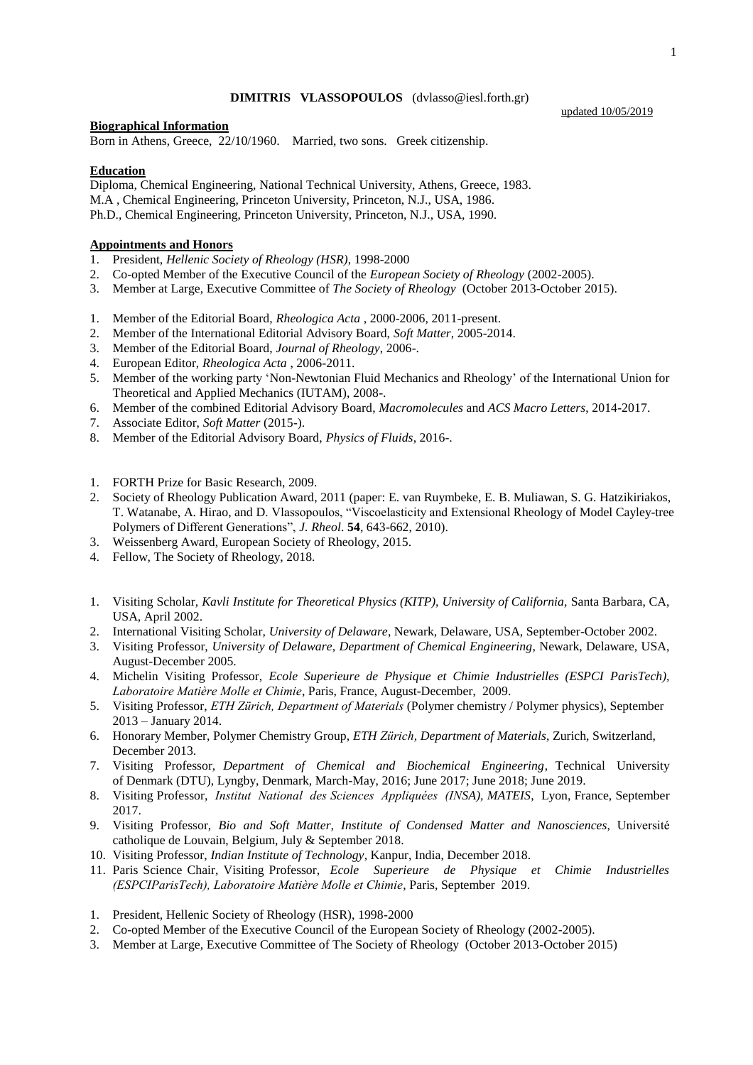### **DIMITRIS VLASSOPOULOS** (dvlasso@iesl.forth.gr)

### **Biographical Information**

Born in Athens, Greece, 22/10/1960. Married, two sons. Greek citizenship.

# **Education**

Diploma, Chemical Engineering, National Technical University, Athens, Greece, 1983. M.A , Chemical Engineering, Princeton University, Princeton, N.J., USA, 1986. Ph.D., Chemical Engineering, Princeton University, Princeton, N.J., USA, 1990.

# **Appointments and Honors**

- 1. President, *Hellenic Society of Rheology (HSR)*, 1998-2000
- 2. Co-opted Member of the Executive Council of the *European Society of Rheology* (2002-2005).
- 3. Member at Large, Executive Committee of *The Society of Rheology* (October 2013-October 2015).
- 1. Member of the Editorial Board, *Rheologica Acta* , 2000-2006, 2011-present.
- 2. Member of the International Editorial Advisory Board, *Soft Matter*, 2005-2014.
- 3. Member of the Editorial Board, *Journal of Rheology*, 2006-.
- 4. European Editor, *Rheologica Acta* , 2006-2011.
- 5. Member of the working party 'Non-Newtonian Fluid Mechanics and Rheology' of the International Union for Theoretical and Applied Mechanics (IUTAM), 2008-.
- 6. Member of the combined Editorial Advisory Board, *Macromolecules* and *ACS Macro Letters*, 2014-2017.
- 7. Associate Editor, *Soft Matter* (2015-).
- 8. Member of the Editorial Advisory Board, *Physics of Fluids*, 2016-.
- 1. FORTH Prize for Basic Research, 2009.
- 2. Society of Rheology Publication Award, 2011 (paper: E. van Ruymbeke, E. B. Muliawan, S. G. Hatzikiriakos, T. Watanabe, A. Hirao, and D. Vlassopoulos, "Viscoelasticity and Extensional Rheology of Model Cayley-tree Polymers of Different Generations", *J. Rheol*. **54**, 643-662, 2010).
- 3. Weissenberg Award, European Society of Rheology, 2015.
- 4. Fellow, The Society of Rheology, 2018.
- 1. Visiting Scholar, *Kavli Institute for Theoretical Physics (KITP), University of California,* Santa Barbara, CA, USA, April 2002.
- 2. International Visiting Scholar, *University of Delaware*, Newark, Delaware, USA, September-October 2002.
- 3. Visiting Professor, *University of Delaware*, *Department of Chemical Engineering*, Newark, Delaware, USA, August-December 2005.
- 4. Michelin Visiting Professor, *Ecole Superieure de Physique et Chimie Industrielles (ESPCI ParisTech), Laboratoire Matière Molle et Chimie*, Paris, France, August-December, 2009.
- 5. Visiting Professor, *ETH Zürich, Department of Materials* (Polymer chemistry / Polymer physics), September 2013 – January 2014.
- 6. Honorary Member, Polymer Chemistry Group, *ETH Zürich, Department of Materials*, Zurich, Switzerland, December 2013.
- 7. Visiting Professor, *Department of Chemical and Biochemical Engineering*, Technical University of Denmark (DTU), Lyngby, Denmark, March-May, 2016; June 2017; June 2018; June 2019.
- 8. Visiting Professor, *Institut National des Sciences Appliquées (INSA), MATEIS*, Lyon, France, September 2017.
- 9. Visiting Professor, *Bio and Soft Matter, Institute of Condensed Matter and Nanosciences*, Université catholique de Louvain, Belgium, July & September 2018.
- 10. Visiting Professor, *Indian Institute of Technology*, Kanpur, India, December 2018.
- 11. Paris Science Chair, Visiting Professor, *Ecole Superieure de Physique et Chimie Industrielles (ESPCIParisTech), Laboratoire Matière Molle et Chimie*, Paris, September 2019.
- 1. President, Hellenic Society of Rheology (HSR), 1998-2000
- 2. Co-opted Member of the Executive Council of the European Society of Rheology (2002-2005).
- 3. Member at Large, Executive Committee of The Society of Rheology (October 2013-October 2015)

updated 10/05/2019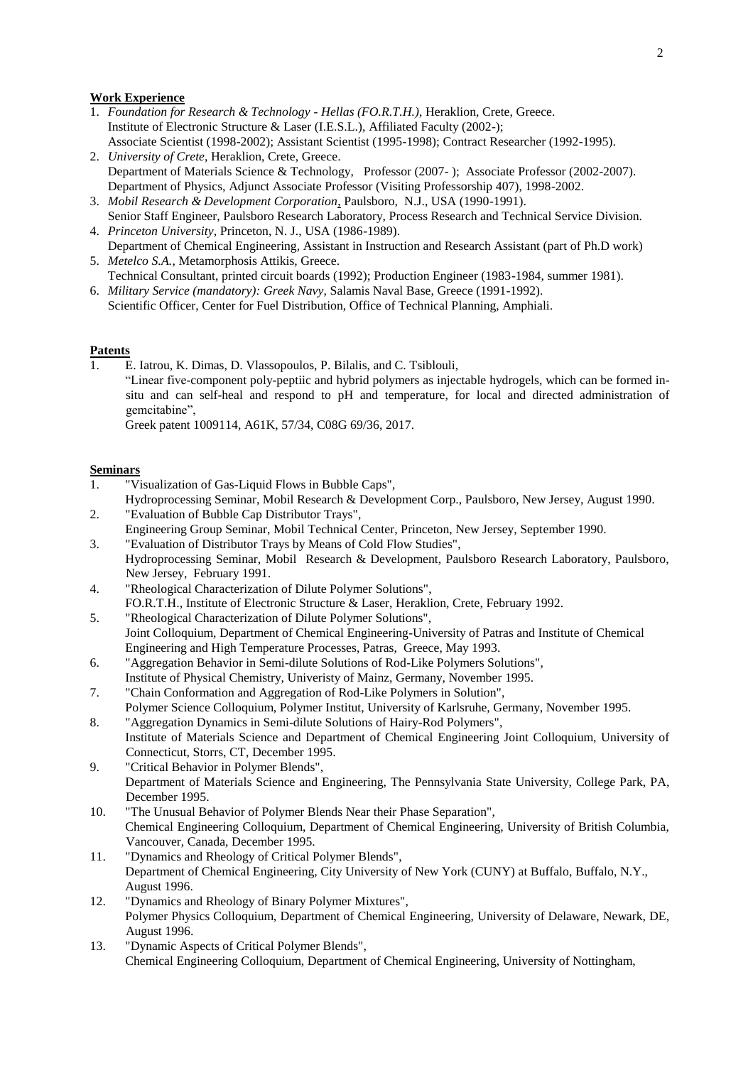### **Work Experience**

- 1. *Foundation for Research & Technology - Hellas (FO.R.T.H.)*, Heraklion, Crete, Greece. Institute of Electronic Structure & Laser (I.E.S.L.), Affiliated Faculty (2002-); Associate Scientist (1998-2002); Assistant Scientist (1995-1998); Contract Researcher (1992-1995).
- 2. *University of Crete*, Heraklion, Crete, Greece. Department of Materials Science & Technology, Professor (2007- ); Associate Professor (2002-2007). Department of Physics, Adjunct Associate Professor (Visiting Professorship 407), 1998-2002.
- 3. *Mobil Research & Development Corporation*, Paulsboro, N.J., USA (1990-1991). Senior Staff Engineer, Paulsboro Research Laboratory, Process Research and Technical Service Division.
- 4. *Princeton University*, Princeton, N. J., USA (1986-1989). Department of Chemical Engineering, Assistant in Instruction and Research Assistant (part of Ph.D work)
- 5. *Metelco S.A.*, Metamorphosis Attikis, Greece. Technical Consultant, printed circuit boards (1992); Production Engineer (1983-1984, summer 1981).
- 6. *Military Service (mandatory): Greek Navy*, Salamis Naval Base, Greece (1991-1992). Scientific Officer, Center for Fuel Distribution, Office of Technical Planning, Amphiali.

## **Patents**

1. E. Iatrou, K. Dimas, D. Vlassopoulos, P. Bilalis, and C. Tsiblouli, "Linear five-component poly-peptiic and hybrid polymers as injectable hydrogels, which can be formed insitu and can self-heal and respond to pH and temperature, for local and directed administration of gemcitabine",

Greek patent 1009114, A61K, 57/34, C08G 69/36, 2017.

### **Seminars**

- 1. "Visualization of Gas-Liquid Flows in Bubble Caps",
- Hydroprocessing Seminar, Mobil Research & Development Corp., Paulsboro, New Jersey, August 1990. 2. "Evaluation of Bubble Cap Distributor Trays",
- Engineering Group Seminar, Mobil Technical Center, Princeton, New Jersey, September 1990.
- 3. "Evaluation of Distributor Trays by Means of Cold Flow Studies", Hydroprocessing Seminar, Mobil Research & Development, Paulsboro Research Laboratory, Paulsboro, New Jersey, February 1991.
- 4. "Rheological Characterization of Dilute Polymer Solutions", FO.R.T.H., Institute of Electronic Structure & Laser, Heraklion, Crete, February 1992.
- 5. "Rheological Characterization of Dilute Polymer Solutions", Joint Colloquium, Department of Chemical Engineering-University of Patras and Institute of Chemical Engineering and High Temperature Processes, Patras, Greece, May 1993.
- 6. "Aggregation Behavior in Semi-dilute Solutions of Rod-Like Polymers Solutions", Institute of Physical Chemistry, Univeristy of Mainz, Germany, November 1995.
- 7. "Chain Conformation and Aggregation of Rod-Like Polymers in Solution", Polymer Science Colloquium, Polymer Institut, University of Karlsruhe, Germany, November 1995.
- 8. "Aggregation Dynamics in Semi-dilute Solutions of Hairy-Rod Polymers", Institute of Materials Science and Department of Chemical Engineering Joint Colloquium, University of Connecticut, Storrs, CT, December 1995.
- 9. "Critical Behavior in Polymer Blends", Department of Materials Science and Engineering, The Pennsylvania State University, College Park, PA, December 1995.
- 10. "The Unusual Behavior of Polymer Blends Near their Phase Separation", Chemical Engineering Colloquium, Department of Chemical Engineering, University of British Columbia, Vancouver, Canada, December 1995.
- 11. "Dynamics and Rheology of Critical Polymer Blends", Department of Chemical Engineering, City University of New York (CUNY) at Buffalo, Buffalo, N.Y., August 1996.
- 12. "Dynamics and Rheology of Binary Polymer Mixtures", Polymer Physics Colloquium, Department of Chemical Engineering, University of Delaware, Newark, DE, August 1996.
- 13. "Dynamic Aspects of Critical Polymer Blends", Chemical Engineering Colloquium, Department of Chemical Engineering, University of Nottingham,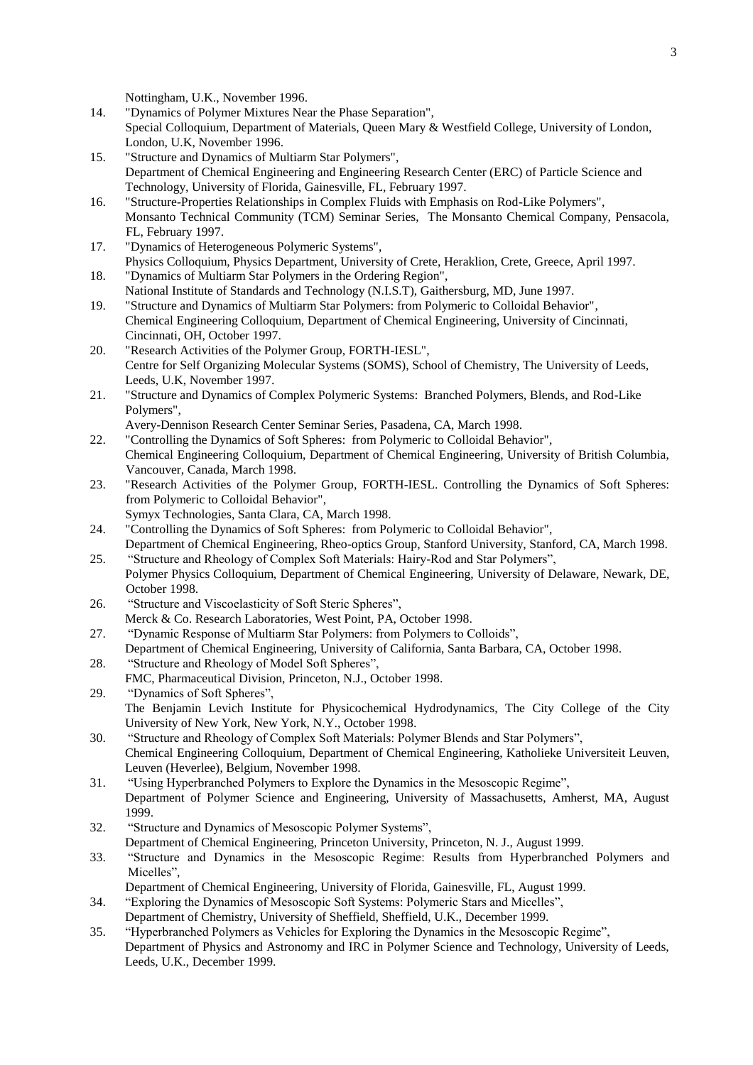Nottingham, U.K., November 1996.

- 14. "Dynamics of Polymer Mixtures Near the Phase Separation", Special Colloquium, Department of Materials, Queen Mary & Westfield College, University of London, London, U.K, November 1996.
- 15. "Structure and Dynamics of Multiarm Star Polymers", Department of Chemical Engineering and Engineering Research Center (ERC) of Particle Science and Technology, University of Florida, Gainesville, FL, February 1997.
- 16. "Structure-Properties Relationships in Complex Fluids with Emphasis on Rod-Like Polymers", Monsanto Technical Community (TCM) Seminar Series, The Monsanto Chemical Company, Pensacola, FL, February 1997.
- 17. "Dynamics of Heterogeneous Polymeric Systems", Physics Colloquium, Physics Department, University of Crete, Heraklion, Crete, Greece, April 1997.
- 18. "Dynamics of Multiarm Star Polymers in the Ordering Region", National Institute of Standards and Technology (N.I.S.T), Gaithersburg, MD, June 1997.
- 19. "Structure and Dynamics of Multiarm Star Polymers: from Polymeric to Colloidal Behavior", Chemical Engineering Colloquium, Department of Chemical Engineering, University of Cincinnati, Cincinnati, OH, October 1997.
- 20. "Research Activities of the Polymer Group, FORTH-IESL", Centre for Self Organizing Molecular Systems (SOMS), School of Chemistry, The University of Leeds, Leeds, U.K, November 1997.
- 21. "Structure and Dynamics of Complex Polymeric Systems: Branched Polymers, Blends, and Rod-Like Polymers",

Avery-Dennison Research Center Seminar Series, Pasadena, CA, March 1998.

- 22. "Controlling the Dynamics of Soft Spheres: from Polymeric to Colloidal Behavior", Chemical Engineering Colloquium, Department of Chemical Engineering, University of British Columbia, Vancouver, Canada, March 1998.
- 23. "Research Activities of the Polymer Group, FORTH-IESL. Controlling the Dynamics of Soft Spheres: from Polymeric to Colloidal Behavior",
	- Symyx Technologies, Santa Clara, CA, March 1998.
- 24. "Controlling the Dynamics of Soft Spheres: from Polymeric to Colloidal Behavior",

Department of Chemical Engineering, Rheo-optics Group, Stanford University, Stanford, CA, March 1998. 25. "Structure and Rheology of Complex Soft Materials: Hairy-Rod and Star Polymers",

- Polymer Physics Colloquium, Department of Chemical Engineering, University of Delaware, Newark, DE, October 1998.
- 26. "Structure and Viscoelasticity of Soft Steric Spheres", Merck & Co. Research Laboratories, West Point, PA, October 1998.
- 27. "Dynamic Response of Multiarm Star Polymers: from Polymers to Colloids",
- Department of Chemical Engineering, University of California, Santa Barbara, CA, October 1998. 28. "Structure and Rheology of Model Soft Spheres",
- FMC, Pharmaceutical Division, Princeton, N.J., October 1998.
- 29. "Dynamics of Soft Spheres", The Benjamin Levich Institute for Physicochemical Hydrodynamics, The City College of the City University of New York, New York, N.Y., October 1998.
- 30. "Structure and Rheology of Complex Soft Materials: Polymer Blends and Star Polymers", Chemical Engineering Colloquium, Department of Chemical Engineering, Katholieke Universiteit Leuven, Leuven (Heverlee), Belgium, November 1998.
- 31. "Using Hyperbranched Polymers to Explore the Dynamics in the Mesoscopic Regime", Department of Polymer Science and Engineering, University of Massachusetts, Amherst, MA, August 1999.
- 32. "Structure and Dynamics of Mesoscopic Polymer Systems", Department of Chemical Engineering, Princeton University, Princeton, N. J., August 1999.
- 33. "Structure and Dynamics in the Mesoscopic Regime: Results from Hyperbranched Polymers and Micelles".
	- Department of Chemical Engineering, University of Florida, Gainesville, FL, August 1999.
- 34. "Exploring the Dynamics of Mesoscopic Soft Systems: Polymeric Stars and Micelles", Department of Chemistry, University of Sheffield, Sheffield, U.K., December 1999.
- 35. "Hyperbranched Polymers as Vehicles for Exploring the Dynamics in the Mesoscopic Regime", Department of Physics and Astronomy and IRC in Polymer Science and Technology, University of Leeds, Leeds, U.K., December 1999.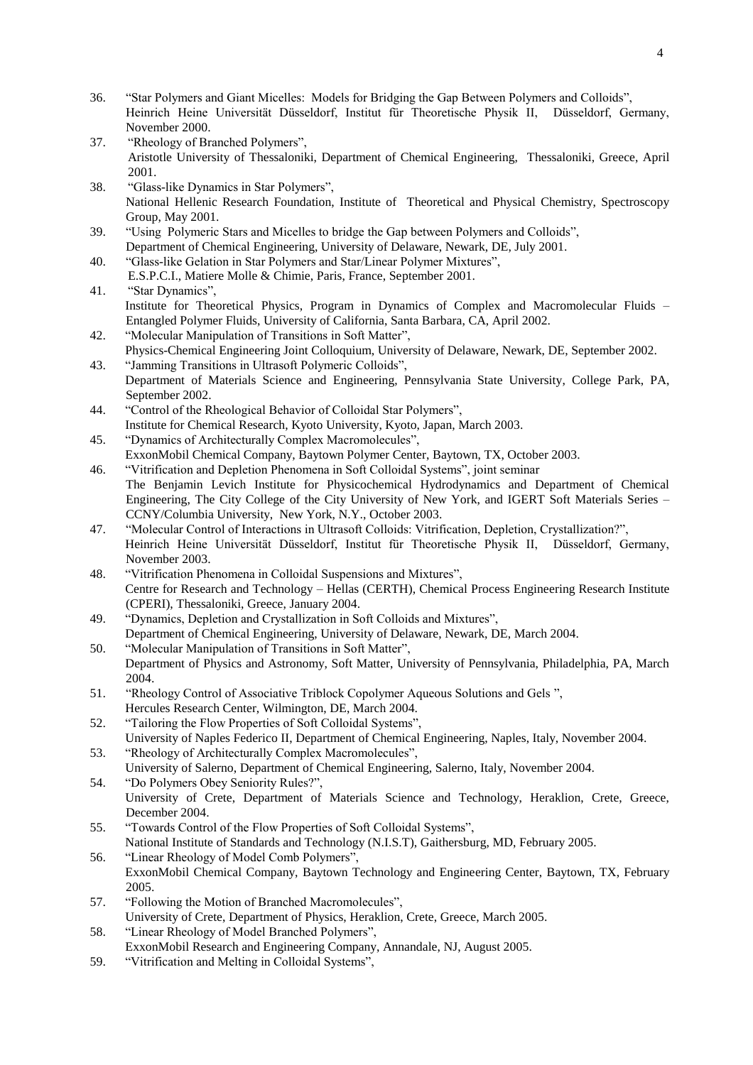- 36. "Star Polymers and Giant Micelles: Models for Bridging the Gap Between Polymers and Colloids", Heinrich Heine Universität Düsseldorf, Institut für Theoretische Physik II, Düsseldorf, Germany, November 2000.
- 37. "Rheology of Branched Polymers", Aristotle University of Thessaloniki, Department of Chemical Engineering, Thessaloniki, Greece, April 2001.
- 38. "Glass-like Dynamics in Star Polymers", National Hellenic Research Foundation, Institute of Theoretical and Physical Chemistry, Spectroscopy Group, May 2001.
- 39. "Using Polymeric Stars and Micelles to bridge the Gap between Polymers and Colloids", Department of Chemical Engineering, University of Delaware, Newark, DE, July 2001.
- 40. "Glass-like Gelation in Star Polymers and Star/Linear Polymer Mixtures", E.S.P.C.I., Matiere Molle & Chimie, Paris, France, September 2001.

# 41. "Star Dynamics", Institute for Theoretical Physics, Program in Dynamics of Complex and Macromolecular Fluids – Entangled Polymer Fluids, University of California, Santa Barbara, CA, April 2002.

- 42. "Molecular Manipulation of Transitions in Soft Matter", Physics-Chemical Engineering Joint Colloquium, University of Delaware, Newark, DE, September 2002. 43. "Jamming Transitions in Ultrasoft Polymeric Colloids",
- Department of Materials Science and Engineering, Pennsylvania State University, College Park, PA, September 2002.
- 44. "Control of the Rheological Behavior of Colloidal Star Polymers", Institute for Chemical Research, Kyoto University, Kyoto, Japan, March 2003.
- 45. "Dynamics of Architecturally Complex Macromolecules", ExxonMobil Chemical Company, Baytown Polymer Center, Baytown, TX, October 2003.
- 46. "Vitrification and Depletion Phenomena in Soft Colloidal Systems", joint seminar The Benjamin Levich Institute for Physicochemical Hydrodynamics and Department of Chemical Engineering, The City College of the City University of New York, and IGERT Soft Materials Series – CCNY/Columbia University, New York, N.Y., October 2003.
- 47. "Molecular Control of Interactions in Ultrasoft Colloids: Vitrification, Depletion, Crystallization?", Heinrich Heine Universität Düsseldorf, Institut für Theoretische Physik II, Düsseldorf, Germany, November 2003.
- 48. "Vitrification Phenomena in Colloidal Suspensions and Mixtures", Centre for Research and Technology – Hellas (CERTH), Chemical Process Engineering Research Institute (CPERI), Thessaloniki, Greece, January 2004.
- 49. "Dynamics, Depletion and Crystallization in Soft Colloids and Mixtures", Department of Chemical Engineering, University of Delaware, Newark, DE, March 2004.
- 50. "Molecular Manipulation of Transitions in Soft Matter", Department of Physics and Astronomy, Soft Matter, University of Pennsylvania, Philadelphia, PA, March 2004.
- 51. "Rheology Control of Associative Triblock Copolymer Aqueous Solutions and Gels ", Hercules Research Center, Wilmington, DE, March 2004.
- 52. "Tailoring the Flow Properties of Soft Colloidal Systems", University of Naples Federico II, Department of Chemical Engineering, Naples, Italy, November 2004.
- 53. "Rheology of Architecturally Complex Macromolecules", University of Salerno, Department of Chemical Engineering, Salerno, Italy, November 2004.
- 54. "Do Polymers Obey Seniority Rules?", University of Crete, Department of Materials Science and Technology, Heraklion, Crete, Greece, December 2004.
- 55. "Towards Control of the Flow Properties of Soft Colloidal Systems", National Institute of Standards and Technology (N.I.S.T), Gaithersburg, MD, February 2005. 56. "Linear Rheology of Model Comb Polymers",
- ExxonMobil Chemical Company, Baytown Technology and Engineering Center, Baytown, TX, February 2005.
- 57. "Following the Motion of Branched Macromolecules", University of Crete, Department of Physics, Heraklion, Crete, Greece, March 2005.
- 58. "Linear Rheology of Model Branched Polymers", ExxonMobil Research and Engineering Company, Annandale, NJ, August 2005.
- 59. "Vitrification and Melting in Colloidal Systems",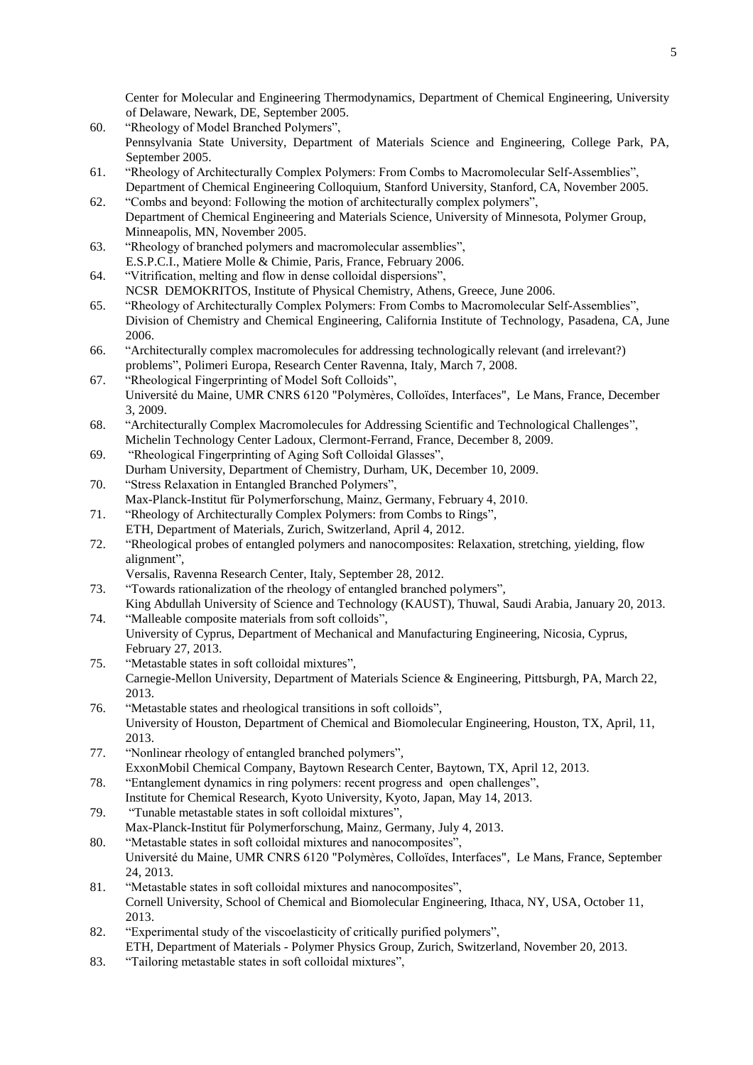Center for Molecular and Engineering Thermodynamics, Department of Chemical Engineering, University of Delaware, Newark, DE, September 2005.

- 60. "Rheology of Model Branched Polymers", Pennsylvania State University, Department of Materials Science and Engineering, College Park, PA, September 2005.
- 61. "Rheology of Architecturally Complex Polymers: From Combs to Macromolecular Self-Assemblies", Department of Chemical Engineering Colloquium, Stanford University, Stanford, CA, November 2005.
- 62. "Combs and beyond: Following the motion of architecturally complex polymers", Department of Chemical Engineering and Materials Science, University of Minnesota, Polymer Group, Minneapolis, MN, November 2005.
- 63. "Rheology of branched polymers and macromolecular assemblies", E.S.P.C.I., Matiere Molle & Chimie, Paris, France, February 2006.
- 64. "Vitrification, melting and flow in dense colloidal dispersions", NCSR DEMOKRITOS, Institute of Physical Chemistry, Athens, Greece, June 2006.
- 65. "Rheology of Architecturally Complex Polymers: From Combs to Macromolecular Self-Assemblies", Division of Chemistry and Chemical Engineering, California Institute of Technology, Pasadena, CA, June 2006.
- 66. "Architecturally complex macromolecules for addressing technologically relevant (and irrelevant?) problems", Polimeri Europa, Research Center Ravenna, Italy, March 7, 2008.
- 67. "Rheological Fingerprinting of Model Soft Colloids", Université du Maine, UMR CNRS 6120 "Polymères, Colloïdes, Interfaces", Le Mans, France, December 3, 2009.
- 68. "Architecturally Complex Macromolecules for Addressing Scientific and Technological Challenges", Michelin Technology Center Ladoux, Clermont-Ferrand, France, December 8, 2009.
- 69. "Rheological Fingerprinting of Aging Soft Colloidal Glasses", Durham University, Department of Chemistry, Durham, UK, December 10, 2009.
- 70. "Stress Relaxation in Entangled Branched Polymers", Max-Planck-Institut für Polymerforschung, Mainz, Germany, February 4, 2010.
- 71. "Rheology of Architecturally Complex Polymers: from Combs to Rings", ETH, Department of Materials, Zurich, Switzerland, April 4, 2012.
- 72. "Rheological probes of entangled polymers and nanocomposites: Relaxation, stretching, yielding, flow alignment",
	- Versalis, Ravenna Research Center, Italy, September 28, 2012.
- 73. "Towards rationalization of the rheology of entangled branched polymers",
- King Abdullah University of Science and Technology (KAUST), Thuwal, Saudi Arabia, January 20, 2013. 74. "Malleable composite materials from soft colloids", University of Cyprus, Department of Mechanical and Manufacturing Engineering, Nicosia, Cyprus, February 27, 2013.
- 75. "Metastable states in soft colloidal mixtures", Carnegie-Mellon University, Department of Materials Science & Engineering, Pittsburgh, PA, March 22, 2013.
- 76. "Metastable states and rheological transitions in soft colloids", University of Houston, Department of Chemical and Biomolecular Engineering, Houston, TX, April, 11, 2013.
- 77. "Nonlinear rheology of entangled branched polymers", ExxonMobil Chemical Company, Baytown Research Center, Baytown, TX, April 12, 2013.
- 78. "Entanglement dynamics in ring polymers: recent progress and open challenges", Institute for Chemical Research, Kyoto University, Kyoto, Japan, May 14, 2013.
- 79. "Tunable metastable states in soft colloidal mixtures", Max-Planck-Institut für Polymerforschung, Mainz, Germany, July 4, 2013.
- 80. "Metastable states in soft colloidal mixtures and nanocomposites", Université du Maine, UMR CNRS 6120 "Polymères, Colloïdes, Interfaces", Le Mans, France, September 24, 2013.
- 81. "Metastable states in soft colloidal mixtures and nanocomposites", Cornell University, School of Chemical and Biomolecular Engineering, Ithaca, NY, USA, October 11, 2013.
- 82. "Experimental study of the viscoelasticity of critically purified polymers", ETH, Department of Materials - Polymer Physics Group, Zurich, Switzerland, November 20, 2013.
- 83. "Tailoring metastable states in soft colloidal mixtures",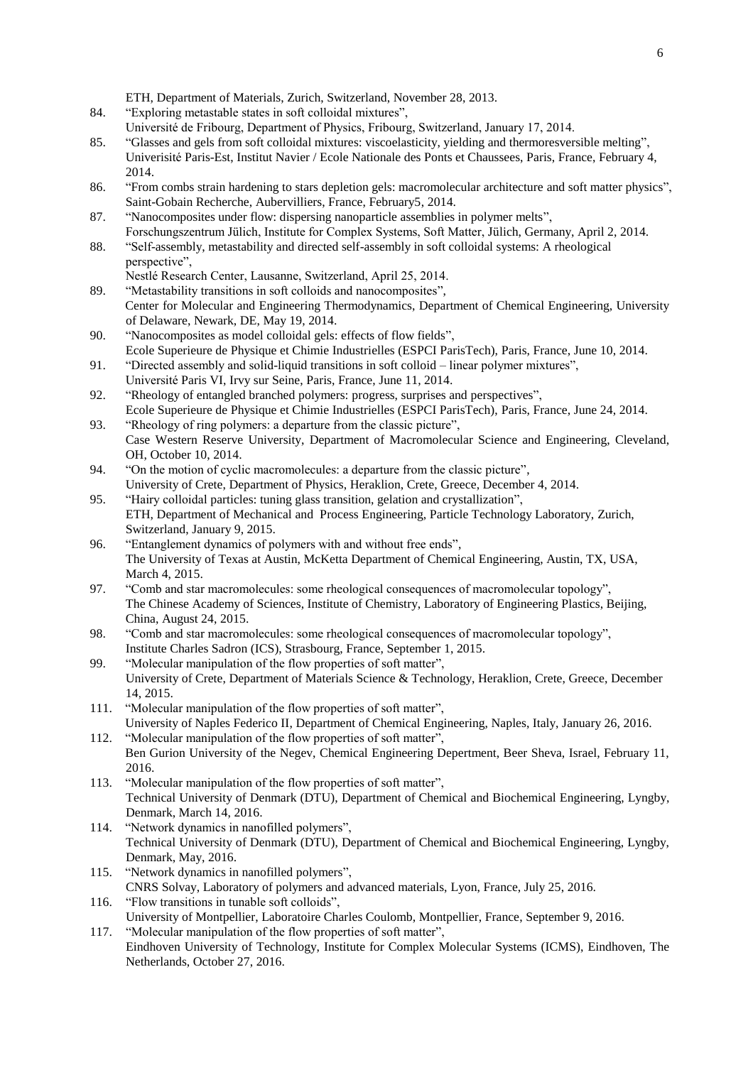ETH, Department of Materials, Zurich, Switzerland, November 28, 2013.

- 84. "Exploring metastable states in soft colloidal mixtures",
- Université de Fribourg, Department of Physics, Fribourg, Switzerland, January 17, 2014.
- 85. "Glasses and gels from soft colloidal mixtures: viscoelasticity, yielding and thermoresversible melting", Univerisité Paris-Est, Institut Navier / Ecole Nationale des Ponts et Chaussees, Paris, France, February 4, 2014.
- 86. "From combs strain hardening to stars depletion gels: macromolecular architecture and soft matter physics", Saint-Gobain Recherche, Aubervilliers, France, February5, 2014.
- 87. "Nanocomposites under flow: dispersing nanoparticle assemblies in polymer melts", Forschungszentrum Jülich, Institute for Complex Systems, Soft Matter, Jülich, Germany, April 2, 2014.
- 88. "Self-assembly, metastability and directed self-assembly in soft colloidal systems: A rheological perspective",
	- Nestlé Research Center, Lausanne, Switzerland, April 25, 2014.
- 89. "Metastability transitions in soft colloids and nanocomposites", Center for Molecular and Engineering Thermodynamics, Department of Chemical Engineering, University of Delaware, Newark, DE, May 19, 2014.
- 90. "Nanocomposites as model colloidal gels: effects of flow fields", Ecole Superieure de Physique et Chimie Industrielles (ESPCI ParisTech), Paris, France, June 10, 2014.
- 91. "Directed assembly and solid-liquid transitions in soft colloid linear polymer mixtures", Université Paris VI, Irvy sur Seine, Paris, France, June 11, 2014.
- 92. "Rheology of entangled branched polymers: progress, surprises and perspectives", Ecole Superieure de Physique et Chimie Industrielles (ESPCI ParisTech), Paris, France, June 24, 2014.
- 93. "Rheology of ring polymers: a departure from the classic picture", Case Western Reserve University, Department of Macromolecular Science and Engineering, Cleveland, OH, October 10, 2014.
- 94. "On the motion of cyclic macromolecules: a departure from the classic picture", University of Crete, Department of Physics, Heraklion, Crete, Greece, December 4, 2014.
- 95. "Hairy colloidal particles: tuning glass transition, gelation and crystallization", ETH, Department of Mechanical and Process Engineering, Particle Technology Laboratory, Zurich, Switzerland, January 9, 2015.
- 96. "Entanglement dynamics of polymers with and without free ends", The University of Texas at Austin, McKetta Department of Chemical Engineering, Austin, TX, USA, March 4, 2015.
- 97. "Comb and star macromolecules: some rheological consequences of macromolecular topology", The Chinese Academy of Sciences, Institute of Chemistry, Laboratory of Engineering Plastics, Beijing, China, August 24, 2015.
- 98. "Comb and star macromolecules: some rheological consequences of macromolecular topology", Institute Charles Sadron (ICS), Strasbourg, France, September 1, 2015.
- 99. "Molecular manipulation of the flow properties of soft matter", University of Crete, Department of Materials Science & Technology, Heraklion, Crete, Greece, December 14, 2015.
- 111. "Molecular manipulation of the flow properties of soft matter", University of Naples Federico II, Department of Chemical Engineering, Naples, Italy, January 26, 2016.
- 112. "Molecular manipulation of the flow properties of soft matter", Ben Gurion University of the Negev, Chemical Engineering Depertment, Beer Sheva, Israel, February 11, 2016.
- 113. "Molecular manipulation of the flow properties of soft matter", Technical University of Denmark (DTU), Department of Chemical and Biochemical Engineering, Lyngby, Denmark, March 14, 2016.
- 114. "Network dynamics in nanofilled polymers", Technical University of Denmark (DTU), Department of Chemical and Biochemical Engineering, Lyngby, Denmark, May, 2016.
- 115. "Network dynamics in nanofilled polymers", CNRS Solvay, Laboratory of polymers and advanced materials, Lyon, France, July 25, 2016.
- 116. "Flow transitions in tunable soft colloids", University of Montpellier, Laboratoire Charles Coulomb, Montpellier, France, September 9, 2016.
- 117. "Molecular manipulation of the flow properties of soft matter", Eindhoven University of Technology, Institute for Complex Molecular Systems (ICMS), Eindhoven, The Netherlands, October 27, 2016.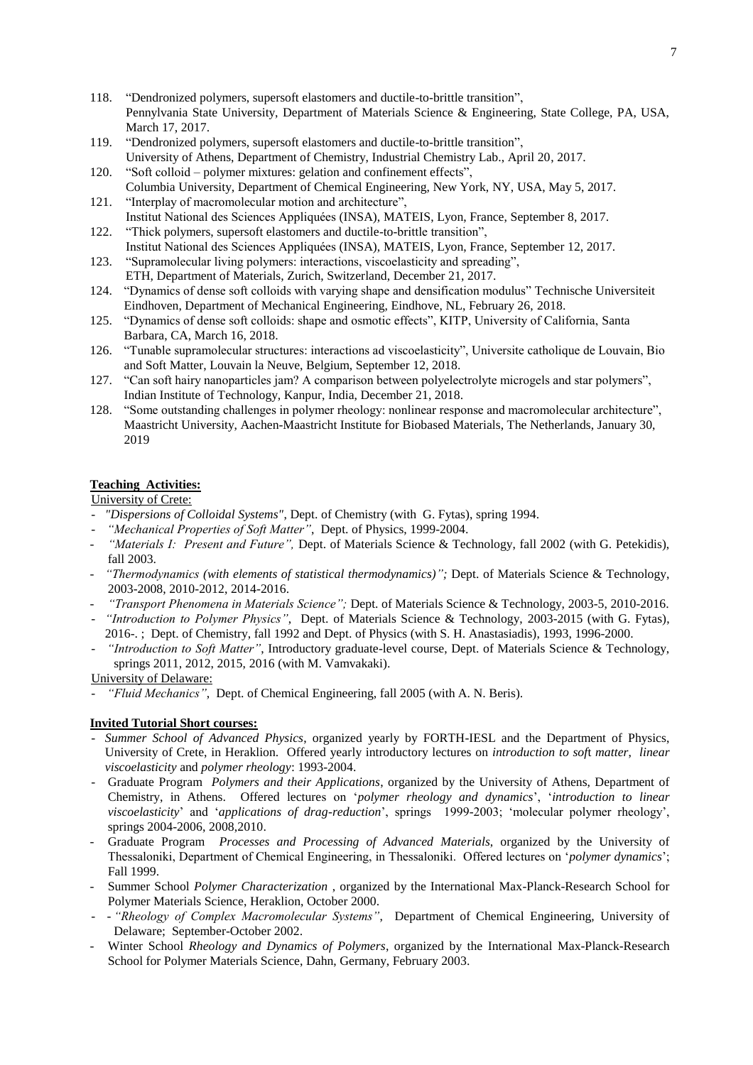- 118. "Dendronized polymers, supersoft elastomers and ductile-to-brittle transition", Pennylvania State University, Department of Materials Science & Engineering, State College, PA, USA, March 17, 2017.
- 119. "Dendronized polymers, supersoft elastomers and ductile-to-brittle transition", University of Athens, Department of Chemistry, Industrial Chemistry Lab., April 20, 2017.
- 120. "Soft colloid polymer mixtures: gelation and confinement effects", Columbia University, Department of Chemical Engineering, New York, NY, USA, May 5, 2017.
- 121. "Interplay of macromolecular motion and architecture", Institut National des Sciences Appliquées (INSA), MATEIS, Lyon, France, September 8, 2017.
- 122. "Thick polymers, supersoft elastomers and ductile-to-brittle transition", Institut National des Sciences Appliquées (INSA), MATEIS, Lyon, France, September 12, 2017.
- 123. "Supramolecular living polymers: interactions, viscoelasticity and spreading", ETH, Department of Materials, Zurich, Switzerland, December 21, 2017.
- 124. "Dynamics of dense soft colloids with varying shape and densification modulus" Technische Universiteit Eindhoven, Department of Mechanical Engineering, Eindhove, NL, February 26, 2018.
- 125. "Dynamics of dense soft colloids: shape and osmotic effects", KITP, University of California, Santa Barbara, CA, March 16, 2018.
- 126. "Tunable supramolecular structures: interactions ad viscoelasticity", Universite catholique de Louvain, Bio and Soft Matter, Louvain la Neuve, Belgium, September 12, 2018.
- 127. "Can soft hairy nanoparticles jam? A comparison between polyelectrolyte microgels and star polymers", Indian Institute of Technology, Kanpur, India, December 21, 2018.
- 128. "Some outstanding challenges in polymer rheology: nonlinear response and macromolecular architecture", Maastricht University, Aachen-Maastricht Institute for Biobased Materials, The Netherlands, January 30, 2019

# **Teaching Activities:**

University of Crete:

- *"Dispersions of Colloidal Systems"*, Dept. of Chemistry (with G. Fytas), spring 1994.
- *"Mechanical Properties of Soft Matter"*, Dept. of Physics, 1999-2004.
- *"Materials I: Present and Future",* Dept. of Materials Science & Technology, fall 2002 (with G. Petekidis), fall 2003.
- *"Thermodynamics (with elements of statistical thermodynamics)";* Dept. of Materials Science & Technology, 2003-2008, 2010-2012, 2014-2016.
- *"Transport Phenomena in Materials Science";* Dept. of Materials Science & Technology, 2003-5, 2010-2016.
- *"Introduction to Polymer Physics"*, Dept. of Materials Science & Technology, 2003-2015 (with G. Fytas), 2016-. ; Dept. of Chemistry, fall 1992 and Dept. of Physics (with S. H. Anastasiadis), 1993, 1996-2000.
- *"Introduction to Soft Matter"*, Introductory graduate-level course, Dept. of Materials Science & Technology, springs 2011, 2012, 2015, 2016 (with M. Vamvakaki).

University of Delaware:

- *"Fluid Mechanics"*, Dept. of Chemical Engineering, fall 2005 (with A. N. Beris).

# **Invited Tutorial Short courses:**

- *Summer School of Advanced Physics*, organized yearly by FORTH-IESL and the Department of Physics, University of Crete, in Heraklion. Offered yearly introductory lectures on *introduction to sof*t *matter*, *linear viscoelasticity* and *polymer rheology*: 1993-2004.
- Graduate Program *Polymers and their Applications*, organized by the University of Athens, Department of Chemistry, in Athens. Offered lectures on '*polymer rheology and dynamics*', '*introduction to linear viscoelasticity*' and '*applications of drag-reduction*', springs 1999-2003; 'molecular polymer rheology', springs 2004-2006, 2008,2010.
- Graduate Program *Processes and Processing of Advanced Materials*, organized by the University of Thessaloniki, Department of Chemical Engineering, in Thessaloniki. Offered lectures on '*polymer dynamics*'; Fall 1999.
- Summer School *Polymer Characterization* , organized by the International Max-Planck-Research School for Polymer Materials Science, Heraklion, October 2000.
- - *"Rheology of Complex Macromolecular Systems"*, Department of Chemical Engineering, University of Delaware; September-October 2002.
- Winter School *Rheology and Dynamics of Polymers*, organized by the International Max-Planck-Research School for Polymer Materials Science, Dahn, Germany, February 2003.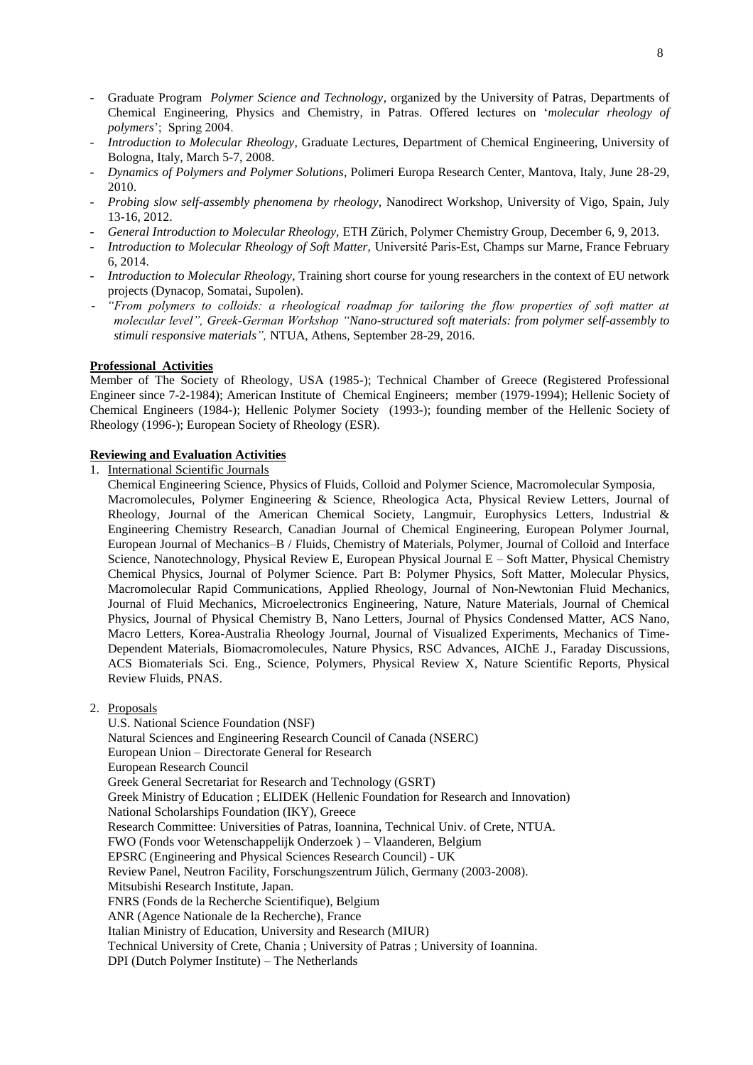- Graduate Program *Polymer Science and Technology*, organized by the University of Patras, Departments of Chemical Engineering, Physics and Chemistry, in Patras. Offered lectures on '*molecular rheology of polymers*'; Spring 2004.
- *Introduction to Molecular Rheology*, Graduate Lectures, Department of Chemical Engineering, University of Bologna, Italy, March 5-7, 2008.
- *Dynamics of Polymers and Polymer Solutions,* Polimeri Europa Research Center, Mantova, Italy, June 28-29, 2010.
- *Probing slow self-assembly phenomena by rheology,* Nanodirect Workshop, University of Vigo, Spain, July 13-16, 2012.
- *General Introduction to Molecular Rheology,* ETH Zürich, Polymer Chemistry Group, December 6, 9, 2013.
- *Introduction to Molecular Rheology of Soft Matter,* Université Paris-Est, Champs sur Marne, France February 6, 2014.
- *Introduction to Molecular Rheology*, Training short course for young researchers in the context of EU network projects (Dynacop, Somatai, Supolen).
- *"From polymers to colloids: a rheological roadmap for tailoring the flow properties of soft matter at molecular level", Greek-German Workshop "Nano-structured soft materials: from polymer self-assembly to stimuli responsive materials",* NTUA, Athens, September 28-29, 2016.

#### **Professional Activities**

Member of The Society of Rheology, USA (1985-); Technical Chamber of Greece (Registered Professional Engineer since 7-2-1984); American Institute of Chemical Engineers; member (1979-1994); Hellenic Society of Chemical Engineers (1984-); Hellenic Polymer Society (1993-); founding member of the Hellenic Society of Rheology (1996-); European Society of Rheology (ESR).

### **Reviewing and Evaluation Activities**

1. International Scientific Journals

Chemical Engineering Science, Physics of Fluids, Colloid and Polymer Science, Macromolecular Symposia, Macromolecules, Polymer Engineering & Science, Rheologica Acta, Physical Review Letters, Journal of Rheology, Journal of the American Chemical Society, Langmuir, Europhysics Letters, Industrial & Engineering Chemistry Research, Canadian Journal of Chemical Engineering, European Polymer Journal, European Journal of Mechanics–B / Fluids, Chemistry of Materials, Polymer, Journal of Colloid and Interface Science, Nanotechnology, Physical Review E, European Physical Journal E – Soft Matter, Physical Chemistry Chemical Physics, Journal of Polymer Science. Part B: Polymer Physics, Soft Matter, Molecular Physics, Macromolecular Rapid Communications, Applied Rheology, Journal of Non-Newtonian Fluid Mechanics, Journal of Fluid Mechanics, Microelectronics Engineering, Nature, Nature Materials, Journal of Chemical Physics, Journal of Physical Chemistry B, Nano Letters, Journal of Physics Condensed Matter, ACS Nano, Macro Letters, Korea-Australia Rheology Journal, Journal of Visualized Experiments, Mechanics of Time-Dependent Materials, Biomacromolecules, Nature Physics, RSC Advances, AIChE J., Faraday Discussions, ACS Biomaterials Sci. Eng., Science, Polymers, Physical Review X, Nature Scientific Reports, Physical Review Fluids, PNAS.

2. Proposals

U.S. National Science Foundation (NSF) Natural Sciences and Engineering Research Council of Canada (NSERC) European Union – Directorate General for Research European Research Council Greek General Secretariat for Research and Technology (GSRT) Greek Ministry of Education ; ELIDEK (Hellenic Foundation for Research and Innovation) National Scholarships Foundation (IKY), Greece Research Committee: Universities of Patras, Ioannina, Technical Univ. of Crete, NTUA. FWO (Fonds voor Wetenschappelijk Onderzoek ) – Vlaanderen, Belgium EPSRC (Engineering and Physical Sciences Research Council) - UK Review Panel, Neutron Facility, Forschungszentrum Jülich, Germany (2003-2008). Mitsubishi Research Institute, Japan. FNRS (Fonds de la Recherche Scientifique), Belgium ANR (Agence Nationale de la Recherche), France Italian Ministry of Education, University and Research (MIUR) Technical University of Crete, Chania ; University of Patras ; University of Ioannina. DPI (Dutch Polymer Institute) – The Netherlands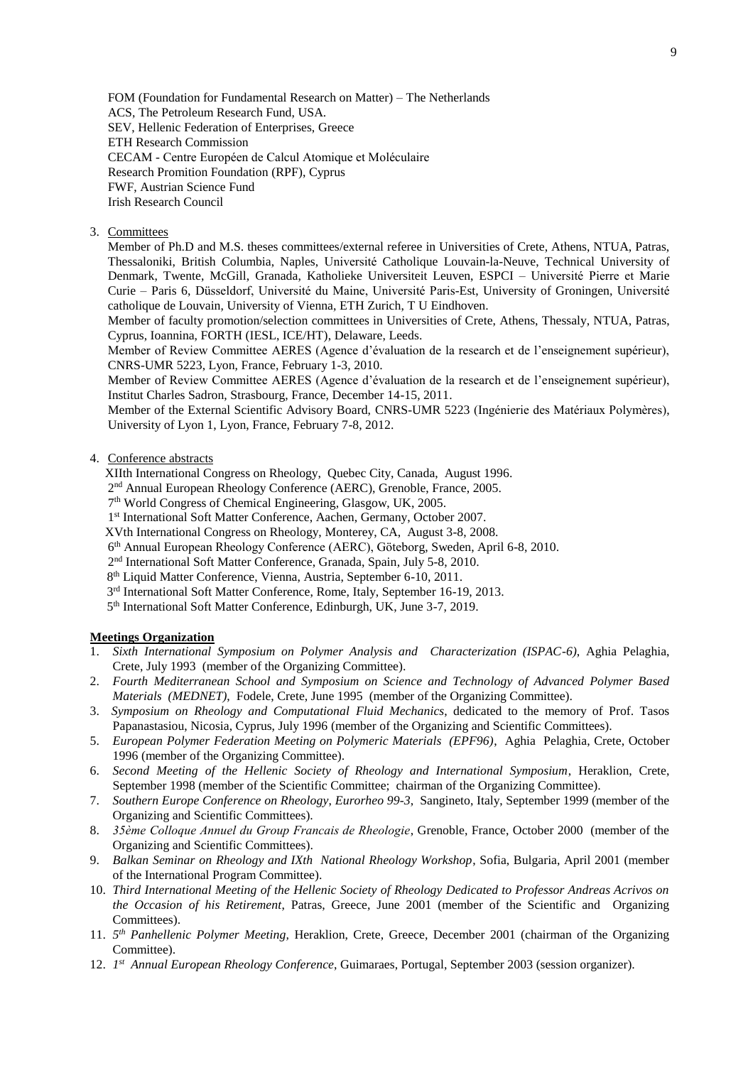FOM (Foundation for Fundamental Research on Matter) – The Netherlands ACS, The Petroleum Research Fund, USA. SEV, Hellenic Federation of Enterprises, Greece ETH Research Commission CECAM - Centre Européen de Calcul Atomique et Moléculaire Research Promition Foundation (RPF), Cyprus FWF, Austrian Science Fund Irish Research Council

# 3. Committees

Member of Ph.D and M.S. theses committees/external referee in Universities of Crete, Athens, NTUA, Patras, Thessaloniki, British Columbia, Naples, Université Catholique Louvain-la-Neuve, Technical University of Denmark, Twente, McGill, Granada, Katholieke Universiteit Leuven, ESPCI – Université Pierre et Marie Curie – Paris 6, Düsseldorf, Université du Maine, Université Paris-Est, University of Groningen, Université catholique de Louvain, University of Vienna, ETH Zurich, T U Eindhoven.

Member of faculty promotion/selection committees in Universities of Crete, Athens, Thessaly, NTUA, Patras, Cyprus, Ioannina, FORTH (IESL, ICE/HT), Delaware, Leeds.

Member of Review Committee AERES (Agence d'évaluation de la research et de l'enseignement supérieur), CNRS-UMR 5223, Lyon, France, February 1-3, 2010.

Member of Review Committee AERES (Agence d'évaluation de la research et de l'enseignement supérieur), Institut Charles Sadron, Strasbourg, France, December 14-15, 2011.

Member of the External Scientific Advisory Board, CNRS-UMR 5223 (Ingénierie des Matériaux Polymères), University of Lyon 1, Lyon, France, February 7-8, 2012.

## 4. Conference abstracts

XIIth International Congress on Rheology, Quebec City, Canada, August 1996.

2<sup>nd</sup> Annual European Rheology Conference (AERC), Grenoble, France, 2005.

- 7 th World Congress of Chemical Engineering, Glasgow, UK, 2005.
- 1<sup>st</sup> International Soft Matter Conference, Aachen, Germany, October 2007.
- XVth International Congress on Rheology, Monterey, CA, August 3-8, 2008.
- 6 th Annual European Rheology Conference (AERC), Göteborg, Sweden, April 6-8, 2010.
- 2<sup>nd</sup> International Soft Matter Conference, Granada, Spain, July 5-8, 2010.
- 8<sup>th</sup> Liquid Matter Conference, Vienna, Austria, September 6-10, 2011.
- 3<sup>rd</sup> International Soft Matter Conference, Rome, Italy, September 16-19, 2013.
- 5<sup>th</sup> International Soft Matter Conference, Edinburgh, UK, June 3-7, 2019.

# **Meetings Organization**

- 1. *Sixth International Symposium on Polymer Analysis and Characterization (ISPAC-6)*, Aghia Pelaghia, Crete, July 1993 (member of the Organizing Committee).
- 2. *Fourth Mediterranean School and Symposium on Science and Technology of Advanced Polymer Based Materials (MEDNET)*, Fodele, Crete, June 1995 (member of the Organizing Committee).
- 3. *Symposium on Rheology and Computational Fluid Mechanics*, dedicated to the memory of Prof. Tasos Papanastasiou, Nicosia, Cyprus, July 1996 (member of the Organizing and Scientific Committees).
- 5. *European Polymer Federation Meeting on Polymeric Materials (EPF96)*, Aghia Pelaghia, Crete, October 1996 (member of the Organizing Committee).
- 6. *Second Meeting of the Hellenic Society of Rheology and International Symposium*, Heraklion, Crete, September 1998 (member of the Scientific Committee; chairman of the Organizing Committee).
- 7. *Southern Europe Conference on Rheology*, *Eurorheo 99-3*, Sangineto, Italy, September 1999 (member of the Organizing and Scientific Committees).
- 8. *35ème Colloque Annuel du Group Francais de Rheologie*, Grenoble, France, October 2000 (member of the Organizing and Scientific Committees).
- 9. *Balkan Seminar on Rheology and IXth National Rheology Workshop*, Sofia, Bulgaria, April 2001 (member of the International Program Committee).
- 10. *Third International Meeting of the Hellenic Society of Rheology Dedicated to Professor Andreas Acrivos on the Occasion of his Retirement*, Patras, Greece, June 2001 (member of the Scientific and Organizing Committees).
- 11. *5 th Panhellenic Polymer Meeting,* Heraklion, Crete, Greece, December 2001 (chairman of the Organizing Committee).
- 12. *1st* Annual European Rheology Conference, Guimaraes, Portugal, September 2003 (session organizer).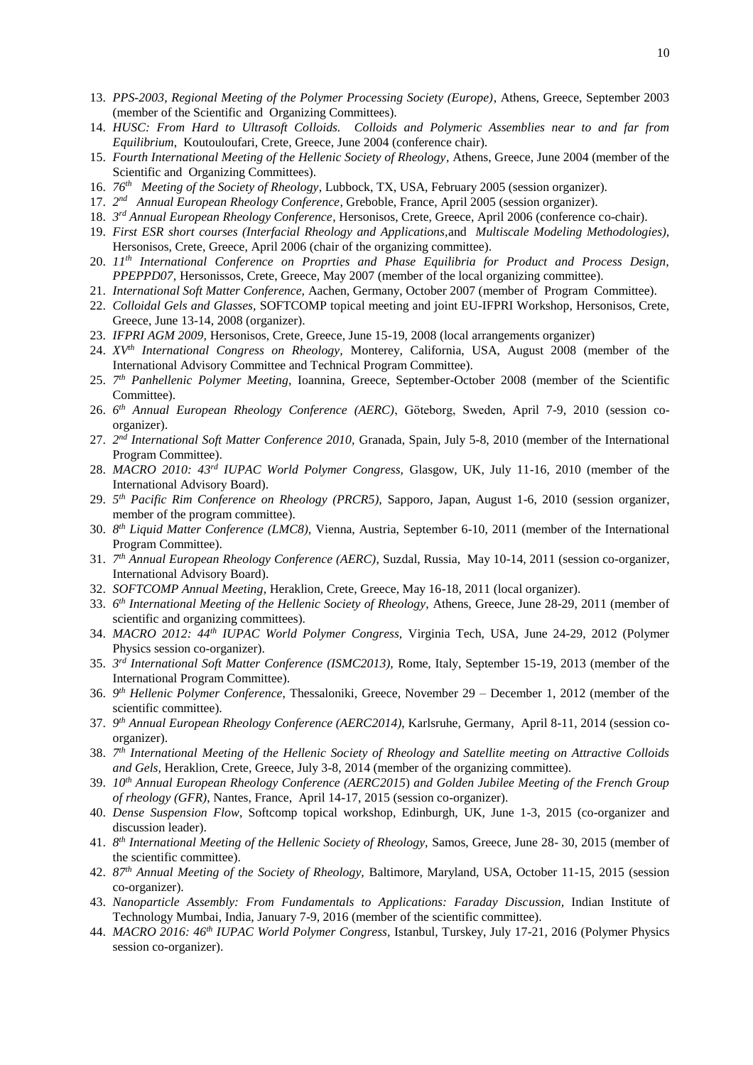- 13. *PPS-2003, Regional Meeting of the Polymer Processing Society (Europe)*, Athens, Greece, September 2003 (member of the Scientific and Organizing Committees).
- 14. *HUSC: From Hard to Ultrasoft Colloids. Colloids and Polymeric Assemblies near to and far from Equilibrium*, Koutouloufari, Crete, Greece, June 2004 (conference chair).
- 15. *Fourth International Meeting of the Hellenic Society of Rheology*, Athens, Greece, June 2004 (member of the Scientific and Organizing Committees).
- 16. *76th Meeting of the Society of Rheology*, Lubbock, TX, USA, February 2005 (session organizer).
- 17. 2<sup>nd</sup> Annual European Rheology Conference, Greboble, France, April 2005 (session organizer).
- 18. *3 rd Annual European Rheology Conference*, Hersonisos, Crete, Greece, April 2006 (conference co-chair).
- 19. *First ESR short courses (Interfacial Rheology and Applications,*and *Multiscale Modeling Methodologies),* Hersonisos, Crete, Greece, April 2006 (chair of the organizing committee).
- 20. *11th International Conference on Proprties and Phase Equilibria for Product and Process Design, PPEPPD07,* Hersonissos, Crete, Greece, May 2007 (member of the local organizing committee).
- 21. *International Soft Matter Conference,* Aachen, Germany, October 2007 (member of Program Committee).
- 22. *Colloidal Gels and Glasses,* SOFTCOMP topical meeting and joint EU-IFPRI Workshop, Hersonisos, Crete, Greece, June 13-14, 2008 (organizer).
- 23. *IFPRI AGM 2009,* Hersonisos, Crete, Greece, June 15-19, 2008 (local arrangements organizer)
- 24. *XVth International Congress on Rheology,* Monterey, California, USA, August 2008 (member of the International Advisory Committee and Technical Program Committee).
- 25. *7 th Panhellenic Polymer Meeting,* Ioannina, Greece, September-October 2008 (member of the Scientific Committee).
- 26. *6 th Annual European Rheology Conference (AERC)*, Göteborg, Sweden, April 7-9, 2010 (session coorganizer).
- 27. *2 nd International Soft Matter Conference 2010,* Granada, Spain, July 5-8, 2010 (member of the International Program Committee).
- 28. *MACRO 2010: 43<sup>rd</sup> IUPAC World Polymer Congress*, Glasgow, UK, July 11-16, 2010 (member of the International Advisory Board).
- 29. *5 th Pacific Rim Conference on Rheology (PRCR5),* Sapporo, Japan, August 1-6, 2010 (session organizer, member of the program committee).
- 30. *8 th Liquid Matter Conference (LMC8),* Vienna, Austria, September 6-10, 2011 (member of the International Program Committee).
- 31. *7 th Annual European Rheology Conference (AERC)*, Suzdal, Russia, May 10-14, 2011 (session co-organizer, International Advisory Board).
- 32. *SOFTCOMP Annual Meeting*, Heraklion, Crete, Greece, May 16-18, 2011 (local organizer).
- 33. *6 th International Meeting of the Hellenic Society of Rheology,* Athens, Greece, June 28-29, 2011 (member of scientific and organizing committees).
- 34. *MACRO 2012: 44th IUPAC World Polymer Congress,* Virginia Tech, USA, June 24-29, 2012 (Polymer Physics session co-organizer).
- 35. *3 rd International Soft Matter Conference (ISMC2013),* Rome, Italy, September 15-19, 2013 (member of the International Program Committee).
- 36. *9 th Hellenic Polymer Conference*, Thessaloniki, Greece, November 29 December 1, 2012 (member of the scientific committee).
- 37. *9 th Annual European Rheology Conference (AERC2014)*, Karlsruhe, Germany, April 8-11, 2014 (session coorganizer).
- 38. *7 th International Meeting of the Hellenic Society of Rheology and Satellite meeting on Attractive Colloids and Gels,* Heraklion, Crete, Greece, July 3-8, 2014 (member of the organizing committee).
- 39. *10th Annual European Rheology Conference (AERC2015*) *and Golden Jubilee Meeting of the French Group of rheology (GFR)*, Nantes, France, April 14-17, 2015 (session co-organizer).
- 40. *Dense Suspension Flow*, Softcomp topical workshop, Edinburgh, UK, June 1-3, 2015 (co-organizer and discussion leader).
- 41. *8 th International Meeting of the Hellenic Society of Rheology,* Samos, Greece, June 28- 30, 2015 (member of the scientific committee).
- 42. *87th Annual Meeting of the Society of Rheology,* Baltimore, Maryland, USA, October 11-15, 2015 (session co-organizer).
- 43. *Nanoparticle Assembly: From Fundamentals to Applications: Faraday Discussion,* Indian Institute of Technology Mumbai, India, January 7-9, 2016 (member of the scientific committee).
- 44. *MACRO 2016: 46th IUPAC World Polymer Congress,* Istanbul, Turskey, July 17-21, 2016 (Polymer Physics session co-organizer).